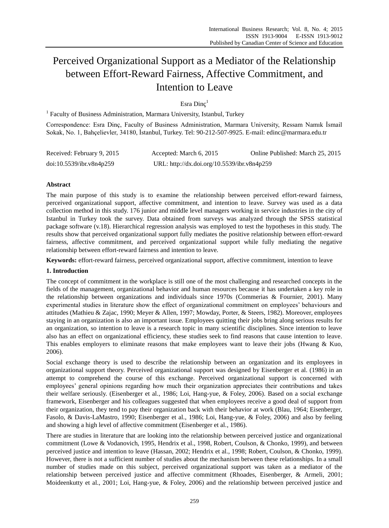# Perceived Organizational Support as a Mediator of the Relationship between Effort-Reward Fairness, Affective Commitment, and Intention to Leave

## Esra Dinç<sup>1</sup>

<sup>1</sup> Faculty of Business Administration, Marmara University, Istanbul, Turkey

Correspondence: Esra Dinç, Faculty of Business Administration, Marmara University, Ressam Namık İsmail Sokak, No. 1, Bahçelievler, 34180, İstanbul, Turkey. Tel: 90-212-507-9925. E-mail: edinc@marmara.edu.tr

| Received: February 9, 2015 | Accepted: March 6, 2015                     | Online Published: March 25, 2015 |
|----------------------------|---------------------------------------------|----------------------------------|
| doi:10.5539/ibr.v8n4p259   | URL: http://dx.doi.org/10.5539/ibr.v8n4p259 |                                  |

## **Abstract**

The main purpose of this study is to examine the relationship between perceived effort-reward fairness, perceived organizational support, affective commitment, and intention to leave. Survey was used as a data collection method in this study. 176 junior and middle level managers working in service industries in the city of Istanbul in Turkey took the survey. Data obtained from surveys was analyzed through the SPSS statistical package software (v.18). Hierarchical regression analysis was employed to test the hypotheses in this study. The results show that perceived organizational support fully mediates the positive relationship between effort-reward fairness, affective commitment, and perceived organizational support while fully mediating the negative relationship between effort-reward fairness and intention to leave.

**Keywords:** effort-reward fairness, perceived organizational support, affective commitment, intention to leave

## **1. Introduction**

The concept of commitment in the workplace is still one of the most challenging and researched concepts in the fields of the management, organizational behavior and human resources because it has undertaken a key role in the relationship between organizations and individuals since 1970s (Commerias & Fournier, 2001). Many experimental studies in literature show the effect of organizational commitment on employees' behaviours and attitudes (Mathieu & Zajac, 1990; Meyer & Allen, 1997; Mowday, Porter, & Steers, 1982). Moreover, employees staying in an organization is also an important issue. Employees quitting their jobs bring along serious results for an organization, so intention to leave is a research topic in many scientific disciplines. Since intention to leave also has an effect on organizational efficiency, these studies seek to find reasons that cause intention to leave. This enables employers to eliminate reasons that make employees want to leave their jobs (Hwang & Kuo, 2006).

Social exchange theory is used to describe the relationship between an organization and its employees in organizational support theory. Perceived organizational support was designed by Eisenberger et al. (1986) in an attempt to comprehend the course of this exchange. Perceived organizational support is concerned with employees' general opinions regarding how much their organization appreciates their contributions and takes their welfare seriously. (Eisenberger et al., 1986; Loi, Hang-yue, & Foley, 2006). Based on a social exchange framework, Eisenberger and his colleagues suggested that when employees receive a good deal of support from their organization, they tend to pay their organization back with their behavior at work (Blau, 1964; Eisenberger, Fasolo, & Davis-LaMastro, 1990; Eisenberger et al., 1986; Loi, Hang-yue, & Foley, 2006) and also by feeling and showing a high level of affective commitment (Eisenberger et al., 1986).

There are studies in literature that are looking into the relationship between perceived justice and organizational commitment (Lowe & Vodanovich, 1995, Hendrix et al., 1998, Robert, Coulson, & Chonko, 1999), and between perceived justice and intention to leave (Hassan, 2002; Hendrix et al., 1998; Robert, Coulson, & Chonko, 1999). However, there is not a sufficient number of studies about the mechanism between these relationships. In a small number of studies made on this subject, perceived organizational support was taken as a mediator of the relationship between perceived justice and affective commitment (Rhoades, Eisenberger, & Armeli, 2001; Moideenkutty et al., 2001; Loi, Hang-yue, & Foley, 2006) and the relationship between perceived justice and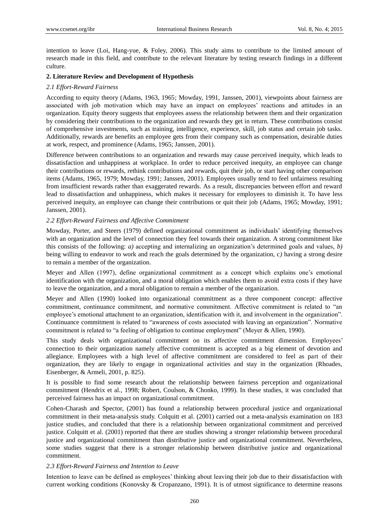intention to leave (Loi, Hang-yue, & Foley, 2006). This study aims to contribute to the limited amount of research made in this field, and contribute to the relevant literature by testing research findings in a different culture.

#### **2. Literature Review and Development of Hypothesis**

#### *2.1 Effort-Reward Fairness*

According to equity theory (Adams, 1963, 1965; Mowday, 1991, Janssen, 2001), viewpoints about fairness are associated with job motivation which may have an impact on employees' reactions and attitudes in an organization. Equity theory suggests that employees assess the relationship between them and their organization by considering their contributions to the organization and rewards they get in return. These contributions consist of comprehensive investments, such as training, intelligence, experience, skill, job status and certain job tasks. Additionally, rewards are benefits an employee gets from their company such as compensation, desirable duties at work, respect, and prominence (Adams, 1965; Janssen, 2001).

Difference between contributions to an organization and rewards may cause perceived inequity, which leads to dissatisfaction and unhappiness at workplace. In order to reduce perceived inequity, an employee can change their contributions or rewards, rethink contributions and rewards, quit their job, or start having other comparison items (Adams, 1965, 1979; Mowday, 1991; Janssen, 2001). Employees usually tend to feel unfairness resulting from insufficient rewards rather than exaggerated rewards. As a result, discrepancies between effort and reward lead to dissatisfaction and unhappiness, which makes it necessary for employees to diminish it. To have less perceived inequity, an employee can change their contributions or quit their job (Adams, 1965; Mowday, 1991; Janssen, 2001).

#### *2.2 Effort-Reward Fairness and Affective Commitment*

Mowday, Porter, and Steers (1979) defined organizational commitment as individuals' identifying themselves with an organization and the level of connection they feel towards their organization. A strong commitment like this consists of the following: *a)* accepting and internalizing an organization's determined goals and values, *b)* being willing to endeavor to work and reach the goals determined by the organization, c*)* having a strong desire to remain a member of the organization.

Meyer and Allen (1997), define organizational commitment as a concept which explains one's emotional identification with the organization, and a moral obligation which enables them to avoid extra costs if they have to leave the organization, and a moral obligation to remain a member of the organization.

Meyer and Allen (1990) looked into organizational commitment as a three component concept: affective commitment, continuance commitment, and normative commitment. Affective commitment is related to "an employee's emotional attachment to an organization, identification with it, and involvement in the organization". Continuance commitment is related to "awareness of costs associated with leaving an organization". Normative commitment is related to "a feeling of obligation to continue employment" (Meyer & Allen, 1990).

This study deals with organizational commitment on its affective commitment dimension. Employees' connection to their organization namely affective commitment is accepted as a big element of devotion and allegiance. Employees with a high level of affective commitment are considered to feel as part of their organization, they are likely to engage in organizational activities and stay in the organization (Rhoades, Eisenberger, & Armeli, 2001, p. 825).

It is possible to find some research about the relationship between fairness perception and organizational commitment (Hendrix et al., 1998; Robert, Coulson, & Chonko, 1999). In these studies, it was concluded that perceived fairness has an impact on organizational commitment.

Cohen-Charash and Spector, (2001) has found a relationship between procedural justice and organizational commitment in their meta-analysis study. Colquitt et al. (2001) carried out a meta-analysis examination on 183 justice studies, and concluded that there is a relationship between organizational commitment and perceived justice. Colquitt et al. (2001) reported that there are studies showing a stronger relationship between procedural justice and organizational commitment than distributive justice and organizational commitment. Nevertheless, some studies suggest that there is a stronger relationship between distributive justice and organizational commitment.

#### *2.3 Effort-Reward Fairness and Intention to Leave*

Intention to leave can be defined as employees' thinking about leaving their job due to their dissatisfaction with current working conditions (Konovsky & Cropanzano, 1991). It is of utmost significance to determine reasons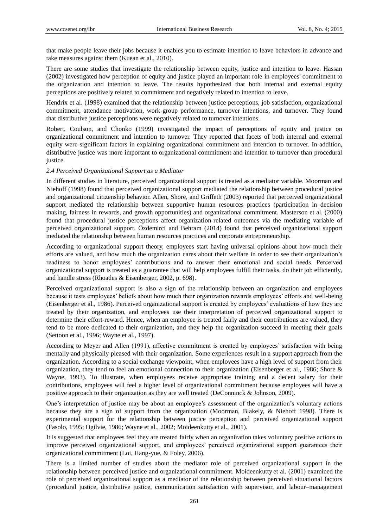that make people leave their jobs because it enables you to estimate intention to leave behaviors in advance and take measures against them (Kuean et al., 2010).

There are some studies that investigate the relationship between equity, justice and intention to leave. Hassan (2002) investigated how perception of equity and justice played an important role in employees' commitment to the organization and intention to leave. The results hypothesized that both internal and external equity perceptions are positively related to commitment and negatively related to intention to leave.

Hendrix et al. (1998) examined that the relationship between justice perceptions, job satisfaction, organizational commitment, attendance motivation, work-group performance, turnover intentions, and turnover. They found that distributive justice perceptions were negatively related to turnover intentions.

Robert, Coulson, and Chonko (1999) investigated the impact of perceptions of equity and justice on organizational commitment and intention to turnover. They reported that facets of both internal and external equity were significant factors in explaining organizational commitment and intention to turnover. In addition, distributive justice was more important to organizational commitment and intention to turnover than procedural justice.

#### *2.4 Perceived Organizational Support as a Mediator*

In different studies in literature, perceived organizational support is treated as a mediator variable. Moorman and Niehoff (1998) found that perceived organizational support mediated the relationship between procedural justice and organizational citizenship behavior. Allen, Shore, and Griffeth (2003) reported that perceived organizational support mediated the relationship between supportive human resources practices (participation in decision making, fairness in rewards, and growth opportunities) and organizational commitment. Masterson et al. (2000) found that procedural justice perceptions affect organization-related outcomes via the mediating variable of perceived organizational support. Özdemirci and Behram (2014) found that perceived organizational support mediated the relationship between human resources practices and corporate entrepreneurship.

According to organizational support theory, employees start having universal opinions about how much their efforts are valued, and how much the organization cares about their welfare in order to see their organization's readiness to honor employees' contributions and to answer their emotional and social needs. Perceived organizational support is treated as a guarantee that will help employees fulfill their tasks, do their job efficiently, and handle stress (Rhoades & Eisenberger, 2002, p. 698).

Perceived organizational support is also a sign of the relationship between an organization and employees because it tests employees' beliefs about how much their organization rewards employees' efforts and well-being (Eisenberger et al., 1986). Perceived organizational support is created by employees' evaluations of how they are treated by their organization, and employees use their interpretation of perceived organizational support to determine their effort-reward. Hence, when an employee is treated fairly and their contributions are valued, they tend to be more dedicated to their organization, and they help the organization succeed in meeting their goals (Settoon et al., 1996; Wayne et al., 1997).

According to Meyer and Allen (1991), affective commitment is created by employees' satisfaction with being mentally and physically pleased with their organization. Some experiences result in a support approach from the organization. According to a social exchange viewpoint, when employees have a high level of support from their organization, they tend to feel an emotional connection to their organization (Eisenberger et al., 1986; Shore & Wayne, 1993). To illustrate, when employees receive appropriate training and a decent salary for their contributions, employees will feel a higher level of organizational commitment because employees will have a positive approach to their organization as they are well treated (DeConninck & Johnson, 2009).

One's interpretation of justice may be about an employee's assessment of the organization's voluntary actions because they are a sign of support from the organization (Moorman, Blakely, & Niehoff 1998). There is experimental support for the relationship between justice perception and perceived organizational support (Fasolo, 1995; Ogilvie, 1986; Wayne et al., 2002; Moideenkutty et al., 2001).

It is suggested that employees feel they are treated fairly when an organization takes voluntary positive actions to improve perceived organizational support, and employees' perceived organizational support guarantees their organizational commitment (Loi, Hang-yue, & Foley, 2006).

There is a limited number of studies about the mediator role of perceived organizational support in the relationship between perceived justice and organizational commitment. Moideenkutty et al. (2001) examined the role of perceived organizational support as a mediator of the relationship between perceived situational factors (procedural justice, distributive justice, communication satisfaction with supervisor, and labour–management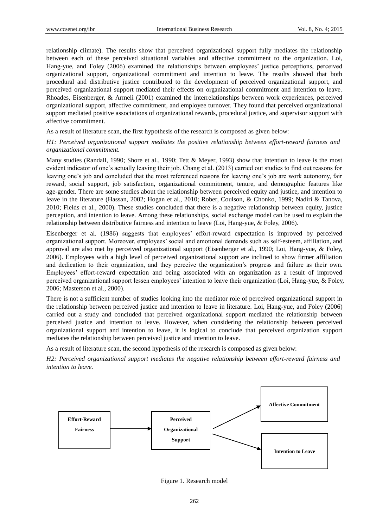relationship climate). The results show that perceived organizational support fully mediates the relationship between each of these perceived situational variables and affective commitment to the organization. Loi, Hang-yue, and Foley (2006) examined the relationships between employees' justice perceptions, perceived organizational support, organizational commitment and intention to leave. The results showed that both procedural and distributive justice contributed to the development of perceived organizational support, and perceived organizational support mediated their effects on organizational commitment and intention to leave. Rhoades, Eisenberger, & Armeli (2001) examined the interrelationships between work experiences, perceived organizational support, affective commitment, and employee turnover. They found that perceived organizational support mediated positive associations of organizational rewards, procedural justice, and supervisor support with affective commitment.

As a result of literature scan, the first hypothesis of the research is composed as given below:

## *H1: Perceived organizational support mediates the positive relationship between effort-reward fairness and organizational commitment.*

Many studies (Randall, 1990; Shore et al., 1990; Tett & Meyer, 1993) show that intention to leave is the most evident indicator of one's actually leaving their job. Chang et al. (2013) carried out studies to find out reasons for leaving one's job and concluded that the most referenced reasons for leaving one's job are work autonomy, fair reward, social support, job satisfaction, organizational commitment, tenure, and demographic features like age-gender. There are some studies about the relationship between perceived equity and justice, and intention to leave in the literature (Hassan, 2002; Hogan et al., 2010; Rober, Coulson, & Chonko, 1999; Nadiri & Tanova, 2010; Fields et al., 2000). These studies concluded that there is a negative relationship between equity, justice perception, and intention to leave. Among these relationships, social exchange model can be used to explain the relationship between distributive fairness and intention to leave (Loi, Hang-yue, & Foley, 2006).

Eisenberger et al. (1986) suggests that employees' effort-reward expectation is improved by perceived organizational support. Moreover, employees' social and emotional demands such as self-esteem, affiliation, and approval are also met by perceived organizational support (Eisenberger et al., 1990; Loi, Hang-yue, & Foley, 2006). Employees with a high level of perceived organizational support are inclined to show firmer affiliation and dedication to their organization, and they perceive the organization's progress and failure as their own. Employees' effort-reward expectation and being associated with an organization as a result of improved perceived organizational support lessen employees' intention to leave their organization (Loi, Hang-yue, & Foley, 2006; Masterson et al., 2000).

There is not a sufficient number of studies looking into the mediator role of perceived organizational support in the relationship between perceived justice and intention to leave in literature. Loi, Hang-yue, and Foley (2006) carried out a study and concluded that perceived organizational support mediated the relationship between perceived justice and intention to leave. However, when considering the relationship between perceived organizational support and intention to leave, it is logical to conclude that perceived organization support mediates the relationship between perceived justice and intention to leave.

As a result of literature scan, the second hypothesis of the research is composed as given below:

*H2: Perceived organizational support mediates the negative relationship between effort-reward fairness and intention to leave.*



Figure 1. Research model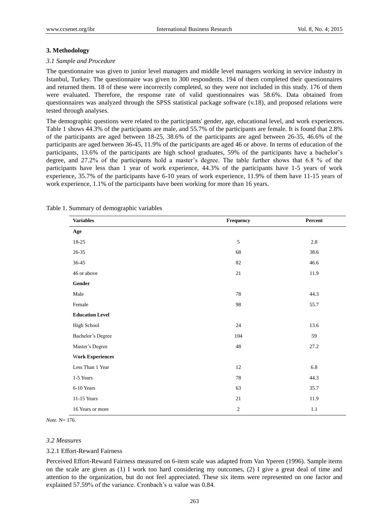#### **3. Methodology**

#### *3.1 Sample and Procedure*

The questionnaire was given to junior level managers and middle level managers working in service industry in Istanbul, Turkey. The questionnaire was given to 300 respondents. 194 of them completed their questionnaires and returned them. 18 of these were incorrectly completed, so they were not included in this study. 176 of them were evaluated. Therefore, the response rate of valid questionnaires was 58.6%. Data obtained from questionnaires was analyzed through the SPSS statistical package software (v.18), and proposed relations were tested through analyses.

The demographic questions were related to the participants' gender, age, educational level, and work experiences. Table 1 shows 44.3% of the participants are male, and 55.7% of the participants are female. It is found that 2.8% of the participants are aged between 18-25, 38.6% of the participants are aged between 26-35, 46.6% of the participants are aged between 36-45, 11.9% of the participants are aged 46 or above. In terms of education of the participants, 13.6% of the participants are high school graduates, 59% of the participants have a bachelor's degree, and 27.2% of the participants hold a master's degree. The table further shows that 6.8 % of the participants have less than 1 year of work experience, 44.3% of the participants have 1-5 years of work experience, 35.7% of the participants have 6-10 years of work experience, 11.9% of them have 11-15 years of work experience, 1.1% of the participants have been working for more than 16 years.

| <b>Variables</b>             | Frequency      | Percent |
|------------------------------|----------------|---------|
| Age                          |                |         |
| $18-25$                      | $\sqrt{5}$     | $2.8\,$ |
| $26 - 35$                    | 68             | 38.6    |
| $36 - 45$                    | 82             | 46.6    |
| 46 or above                  | 21             | 11.9    |
| $\operatorname{\sf{Gender}}$ |                |         |
| Male                         | 78             | 44.3    |
| Female                       | 98             | 55.7    |
| <b>Education Level</b>       |                |         |
| High School                  | 24             | 13.6    |
| Bachelor's Degree            | 104            | 59      |
| Master's Degree              | 48             | 27.2    |
| <b>Work Experiences</b>      |                |         |
| Less Than 1 Year             | 12             | 6.8     |
| 1-5 Years                    | 78             | 44.3    |
| 6-10 Years                   | 63             | 35.7    |
| 11-15 Years                  | 21             | 11.9    |
| 16 Years or more             | $\mathfrak{2}$ | $1.1\,$ |

#### Table 1. Summary of demographic variables

*Note.* N= 176.

#### *3.2 Measures*

#### 3.2.1 Effort-Reward Fairness

Perceived Effort-Reward Fairness measured on 6-item scale was adapted from Van Yperen (1996). Sample items on the scale are given as (1) I work too hard considering my outcomes, (2) I give a great deal of time and attention to the organization, but do not feel appreciated. These six items were represented on one factor and explained 57.59% of the variance. Cronbach's  $\alpha$  value was 0.84.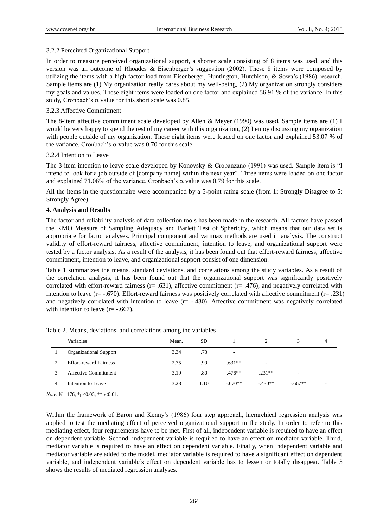## 3.2.2 Perceived Organizational Support

In order to measure perceived organizational support, a shorter scale consisting of 8 items was used, and this version was an outcome of Rhoades & Eisenberger's suggestion (2002). These 8 items were composed by utilizing the items with a high factor-load from Eisenberger, Huntington, Hutchison, & Sowa's (1986) research. Sample items are (1) My organization really cares about my well-being, (2) My organization strongly considers my goals and values. These eight items were loaded on one factor and explained 56.91 % of the variance. In this study, Cronbach's  $\alpha$  value for this short scale was 0.85.

## 3.2.3 Affective Commitment

The 8-item affective commitment scale developed by Allen & Meyer (1990) was used. Sample items are (1) I would be very happy to spend the rest of my career with this organization, (2) I enjoy discussing my organization with people outside of my organization. These eight items were loaded on one factor and explained 53.07 % of the variance. Cronbach's  $\alpha$  value was 0.70 for this scale.

## 3.2.4 Intention to Leave

The 3-item intention to leave scale developed by Konovsky & Cropanzano (1991) was used. Sample item is "I intend to look for a job outside of [company name] within the next year". Three items were loaded on one factor and explained 71.06% of the variance. Cronbach's  $\alpha$  value was 0.79 for this scale.

All the items in the questionnaire were accompanied by a 5-point rating scale (from 1: Strongly Disagree to 5: Strongly Agree).

## **4. Analysis and Results**

The factor and reliability analysis of data collection tools has been made in the research. All factors have passed the KMO Measure of Sampling Adequacy and Barlett Test of Sphericity, which means that our data set is appropriate for factor analyses. Principal component and varimax methods are used in analysis. The construct validity of effort-reward fairness, affective commitment, intention to leave, and organizational support were tested by a factor analysis. As a result of the analysis, it has been found out that effort-reward fairness, affective commitment, intention to leave, and organizational support consist of one dimension.

Table 1 summarizes the means, standard deviations, and correlations among the study variables. As a result of the correlation analysis, it has been found out that the organizational support was significantly positively correlated with effort-reward fairness ( $r = .631$ ), affective commitment ( $r = .476$ ), and negatively correlated with intention to leave ( $r = -.670$ ). Effort-reward fairness was positively correlated with affective commitment ( $r = .231$ ) and negatively correlated with intention to leave  $(r=-.430)$ . Affective commitment was negatively correlated with intention to leave  $(r = -.667)$ .

|   | <b>Variables</b>              | Mean. | SD.  |           |           |           | 4 |
|---|-------------------------------|-------|------|-----------|-----------|-----------|---|
|   | <b>Organizational Support</b> | 3.34  | .73  |           |           |           |   |
|   | <b>Effort-reward Fairness</b> | 2.75  | .99  | $.631**$  | ٠.        |           |   |
|   | Affective Commitment          | 3.19  | .80  | $.476**$  | $.231**$  | ۰         |   |
| 4 | Intention to Leave            | 3.28  | 1.10 | $-.670**$ | $-.430**$ | $-.667**$ |   |

Table 2. Means, deviations, and correlations among the variables

*Note.* N= 176, \*p<0.05, \*\*p<0.01.

Within the framework of Baron and Kenny's (1986) four step approach, hierarchical regression analysis was applied to test the mediating effect of perceived organizational support in the study. In order to refer to this mediating effect, four requirements have to be met. First of all, independent variable is required to have an effect on dependent variable. Second, independent variable is required to have an effect on mediator variable. Third, mediator variable is required to have an effect on dependent variable. Finally, when independent variable and mediator variable are added to the model, mediator variable is required to have a significant effect on dependent variable, and independent variable's effect on dependent variable has to lessen or totally disappear. Table 3 shows the results of mediated regression analyses.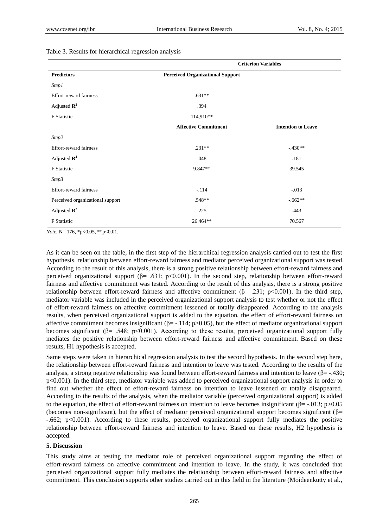#### Table 3. Results for hierarchical regression analysis

|                                  | <b>Criterion Variables</b>              |                           |  |
|----------------------------------|-----------------------------------------|---------------------------|--|
| <b>Predictors</b>                | <b>Perceived Organizational Support</b> |                           |  |
| <i>Step1</i>                     |                                         |                           |  |
| <b>Effort-reward fairness</b>    | $.631**$                                |                           |  |
| Adjusted $\mathbb{R}^2$          | .394                                    |                           |  |
| F Statistic                      | 114,910**                               |                           |  |
|                                  | <b>Affective Commitment</b>             | <b>Intention to Leave</b> |  |
| Step2                            |                                         |                           |  |
| Effort-reward fairness           | $.231**$                                | $-.430**$                 |  |
| Adjusted $\mathbb{R}^2$          | .048                                    | .181                      |  |
| F Statistic                      | 9.847**                                 | 39.545                    |  |
| Step3                            |                                         |                           |  |
| Effort-reward fairness           | $-.114$                                 | $-0.013$                  |  |
| Perceived organizational support | $.548**$                                | $-662**$                  |  |
| Adjusted $\mathbb{R}^2$          | .225                                    | .443                      |  |
| F Statistic                      | 26.464**                                | 70.567                    |  |

*Note.* N= 176, \*p<0.05, \*\*p<0.01.

As it can be seen on the table, in the first step of the hierarchical regression analysis carried out to test the first hypothesis, relationship between effort-reward fairness and mediator perceived organizational support was tested. According to the result of this analysis, there is a strong positive relationship between effort-reward fairness and perceived organizational support ( $\beta$ = .631; p<0.001). In the second step, relationship between effort-reward fairness and affective commitment was tested. According to the result of this analysis, there is a strong positive relationship between effort-reward fairness and affective commitment ( $\beta$ = .231; p<0.001). In the third step, mediator variable was included in the perceived organizational support analysis to test whether or not the effect of effort-reward fairness on affective commitment lessened or totally disappeared. According to the analysis results, when perceived organizational support is added to the equation, the effect of effort-reward fairness on affective commitment becomes insignificant ( $\beta$ = -.114; p>0.05), but the effect of mediator organizational support becomes significant ( $\beta$ = .548; p<0.001). According to these results, perceived organizational support fully mediates the positive relationship between effort-reward fairness and affective commitment. Based on these results, H1 hypothesis is accepted.

Same steps were taken in hierarchical regression analysis to test the second hypothesis. In the second step here, the relationship between effort-reward fairness and intention to leave was tested. According to the results of the analysis, a strong negative relationship was found between effort-reward fairness and intention to leave ( $\beta$ = -.430; p<0.001). In the third step, mediator variable was added to perceived organizational support analysis in order to find out whether the effect of effort-reward fairness on intention to leave lessened or totally disappeared. According to the results of the analysis, when the mediator variable (perceived organizational support) is added to the equation, the effect of effort-reward fairness on intention to leave becomes insignificant ( $\beta$ = -.013; p>0.05 (becomes non-significant), but the effect of mediator perceived organizational support becomes significant ( $\beta$ = -.662; p<0.001). According to these results, perceived organizational support fully mediates the positive relationship between effort-reward fairness and intention to leave. Based on these results, H2 hypothesis is accepted.

#### **5. Discussion**

This study aims at testing the mediator role of perceived organizational support regarding the effect of effort-reward fairness on affective commitment and intention to leave. In the study, it was concluded that perceived organizational support fully mediates the relationship between effort-reward fairness and affective commitment. This conclusion supports other studies carried out in this field in the literature (Moideenkutty et al.,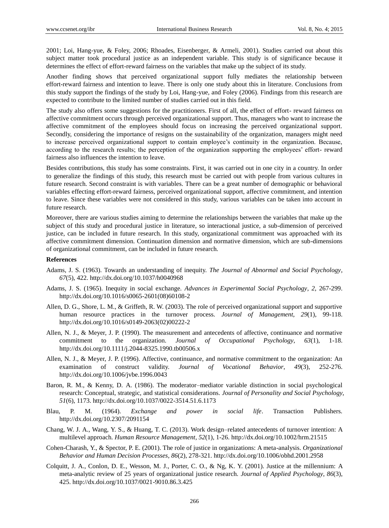2001; Loi, Hang-yue, & Foley, 2006; Rhoades, Eisenberger, & Armeli, 2001). Studies carried out about this subject matter took procedural justice as an independent variable. This study is of significance because it determines the effect of effort-reward fairness on the variables that make up the subject of its study.

Another finding shows that perceived organizational support fully mediates the relationship between effort-reward fairness and intention to leave. There is only one study about this in literature. Conclusions from this study support the findings of the study by Loi, Hang-yue, and Foley (2006). Findings from this research are expected to contribute to the limited number of studies carried out in this field.

The study also offers some suggestions for the practitioners. First of all, the effect of effort- reward fairness on affective commitment occurs through perceived organizational support. Thus, managers who want to increase the affective commitment of the employees should focus on increasing the perceived organizational support. Secondly, considering the importance of resigns on the sustainability of the organization, managers might need to increase perceived organizational support to contain employee's continuity in the organization. Because, according to the research results; the perception of the organization supporting the employees' effort- reward fairness also influences the intention to leave.

Besides contributions, this study has some constraints. First, it was carried out in one city in a country. In order to generalize the findings of this study, this research must be carried out with people from various cultures in future research. Second constraint is with variables. There can be a great number of demographic or behavioral variables effecting effort-reward fairness, perceived organizational support, affective commitment, and intention to leave. Since these variables were not considered in this study, various variables can be taken into account in future research.

Moreover, there are various studies aiming to determine the relationships between the variables that make up the subject of this study and procedural justice in literature, so interactional justice, a sub-dimension of perceived justice, can be included in future research. In this study, organizational commitment was approached with its affective commitment dimension. Continuation dimension and normative dimension, which are sub-dimensions of organizational commitment, can be included in future research.

#### **References**

- Adams, J. S. (1963). Towards an understanding of inequity. *The Journal of Abnormal and Social Psychology*, *67*(5), 422. http://dx.doi.org/10.1037/h0040968
- Adams, J. S. (1965). Inequity in social exchange. *Advances in Experimental Social Psychology*, *2*, 267-299. http://dx.doi.org/10.1016/s0065-2601(08)60108-2
- Allen, D. G., Shore, L. M., & Griffeth, R. W. (2003). The role of perceived organizational support and supportive human resource practices in the turnover process. *Journal of Management*, *29*(1), 99-118. http://dx.doi.org/10.1016/s0149-2063(02)00222-2
- Allen, N. J., & Meyer, J. P. (1990). The measurement and antecedents of affective, continuance and normative commitment to the organization. *Journal of Occupational Psychology*, *63*(1), 1-18. http://dx.doi.org/10.1111/j.2044-8325.1990.tb00506.x
- Allen, N. J., & Meyer, J. P. (1996). Affective, continuance, and normative commitment to the organization: An examination of construct validity. *Journal of Vocational Behavior*, *49*(3), 252-276. http://dx.doi.org/10.1006/jvbe.1996.0043
- Baron, R. M., & Kenny, D. A. (1986). The moderator–mediator variable distinction in social psychological research: Conceptual, strategic, and statistical considerations. *Journal of Personality and Social Psychology*, *51*(6), 1173. http://dx.doi.org/10.1037/0022-3514.51.6.1173
- Blau, P. M. (1964). *Exchange and power in social life*. Transaction Publishers. http://dx.doi.org/10.2307/2091154
- Chang, W. J. A., Wang, Y. S., & Huang, T. C. (2013). Work design–related antecedents of turnover intention: A multilevel approach. *Human Resource Management*, *52*(1), 1-26. http://dx.doi.org/10.1002/hrm.21515
- Cohen-Charash, Y., & Spector, P. E. (2001). The role of justice in organizations: A meta-analysis. *Organizational Behavior and Human Decision Processes*, *86*(2), 278-321. http://dx.doi.org/10.1006/obhd.2001.2958
- Colquitt, J. A., Conlon, D. E., Wesson, M. J., Porter, C. O., & Ng, K. Y. (2001). Justice at the millennium: A meta-analytic review of 25 years of organizational justice research. *Journal of Applied Psychology*, *86*(3), 425. http://dx.doi.org/10.1037/0021-9010.86.3.425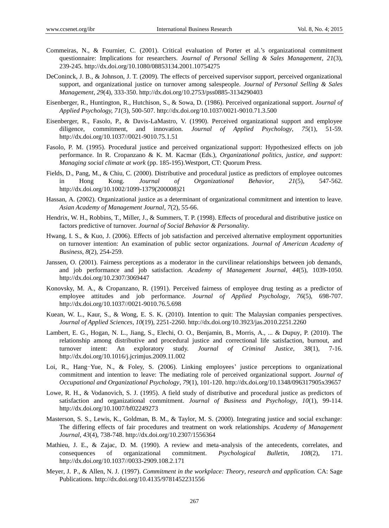- Commeiras, N., & Fournier, C. (2001). Critical evaluation of Porter et al.'s organizational commitment questionnaire: Implications for researchers. *Journal of Personal Selling & Sales Management*, *21*(3), 239-245. http://dx.doi.org/10.1080/08853134.2001.10754275
- DeConinck, J. B., & Johnson, J. T. (2009). The effects of perceived supervisor support, perceived organizational support, and organizational justice on turnover among salespeople. *Journal of Personal Selling & Sales Management*, *29*(4), 333-350. http://dx.doi.org/10.2753/pss0885-3134290403
- Eisenberger, R., Huntington, R., Hutchison, S., & Sowa, D. (1986). Perceived organizational support. *Journal of Applied Psychology, 71*(3), 500-507. http://dx.doi.org/10.1037/0021-9010.71.3.500
- Eisenberger, R., Fasolo, P., & Davis-LaMastro, V. (1990). Perceived organizational support and employee diligence, commitment, and innovation. *Journal of Applied Psychology*, *75*(1), 51-59. http://dx.doi.org/10.1037//0021-9010.75.1.51
- Fasolo, P. M. (1995). Procedural justice and perceived organizational support: Hypothesized effects on job performance. In R. Cropanzano & K. M. Kacmar (Eds.), *Organizational politics, justice, and support: Managing social climate at work* (pp. 185-195).Westport, CT: Quorum Press.
- Fields, D., Pang, M., & Chiu, C. (2000). Distributive and procedural justice as predictors of employee outcomes in Hong Kong. *Journal of Organizational Behavior*, *21*(5), 547-562. http://dx.doi.org/10.1002/1099-1379(200008)21
- Hassan, A. (2002). Organizational justice as a determinant of organizational commitment and intention to leave. *Asian Academy of Management Journal*, *7*(2), 55-66.
- Hendrix, W. H., Robbins, T., Miller, J., & Summers, T. P. (1998). Effects of procedural and distributive justice on factors predictive of turnover. *Journal of Social Behavior & Personality*.
- Hwang, I. S., & Kuo, J. (2006). Effects of job satisfaction and perceived alternative employment opportunities on turnover intention: An examination of public sector organizations. *Journal of American Academy of Business*, *8*(2), 254-259.
- Janssen, O. (2001). Fairness perceptions as a moderator in the curvilinear relationships between job demands, and job performance and job satisfaction. *Academy of Management Journal*, *44*(5), 1039-1050. http://dx.doi.org/10.2307/3069447
- Konovsky, M. A., & Cropanzano, R. (1991). Perceived fairness of employee drug testing as a predictor of employee attitudes and job performance. *Journal of Applied Psychology*, *76*(5), 698-707. http://dx.doi.org/10.1037//0021-9010.76.5.698
- Kuean, W. L., Kaur, S., & Wong, E. S. K. (2010). Intention to quit: The Malaysian companies perspectives. *Journal of Applied Sciences*, *10*(19), 2251-2260. http://dx.doi.org/10.3923/jas.2010.2251.2260
- Lambert, E. G., Hogan, N. L., Jiang, S., Elechi, O. O., Benjamin, B., Morris, A., ... & Dupuy, P. (2010). The relationship among distributive and procedural justice and correctional life satisfaction, burnout, and turnover intent: An exploratory study. *Journal of Criminal Justice*, *38*(1), 7-16. http://dx.doi.org/10.1016/j.jcrimjus.2009.11.002
- Loi, R., Hang-Yue, N., & Foley, S. (2006). Linking employees' justice perceptions to organizational commitment and intention to leave: The mediating role of perceived organizational support. *Journal of Occupational and Organizational Psychology*, *79*(1), 101-120. http://dx.doi.org/10.1348/096317905x39657
- Lowe, R. H., & Vodanovich, S. J. (1995). A field study of distributive and procedural justice as predictors of satisfaction and organizational commitment. *Journal of Business and Psychology*, *10*(1), 99-114. http://dx.doi.org/10.1007/bf02249273
- Masterson, S. S., Lewis, K., Goldman, B. M., & Taylor, M. S. (2000). Integrating justice and social exchange: The differing effects of fair procedures and treatment on work relationships. *Academy of Management Journal*, *43*(4), 738-748. http://dx.doi.org/10.2307/1556364
- Mathieu, J. E., & Zajac, D. M. (1990). A review and meta-analysis of the antecedents, correlates, and consequences of organizational commitment. *Psychological Bulletin*, *108*(2), 171. http://dx.doi.org/10.1037//0033-2909.108.2.171
- Meyer, J. P., & Allen, N. J. (1997). *Commitment in the workplace: Theory, research and application.* CA: Sage Publications. http://dx.doi.org/10.4135/9781452231556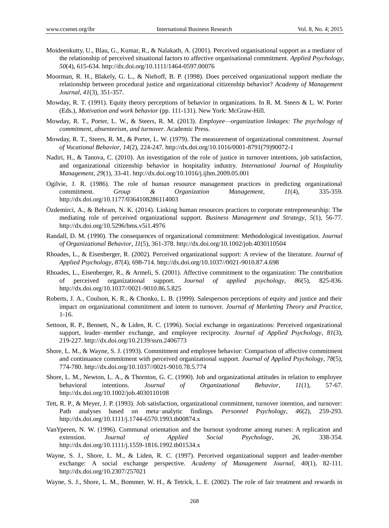- Moideenkutty, U., Blau, G., Kumar, R., & Nalakath, A. (2001). Perceived organisational support as a mediator of the relationship of perceived situational factors to affective organisational commitment. *Applied Psychology*, *50*(4), 615-634. http://dx.doi.org/10.1111/1464-0597.00076
- Moorman, R. H., Blakely, G. L., & Niehoff, B. P. (1998). Does perceived organizational support mediate the relationship between procedural justice and organizational citizenship behavior? *Academy of Management Journal*, *41*(3), 351-357.
- Mowday, R. T. (1991). Equity theory perceptions of behavior in organizations. In R. M. Steers & L. W. Porter (Eds.), *Motivation and work behavior* (pp. 111-131). New York: McGraw-Hill.
- Mowday, R. T., Porter, L. W., & Steers, R. M. (2013). *Employee—organization linkages: The psychology of commitment, absenteeism, and turnover*. Academic Press.
- Mowday, R. T., Steers, R. M., & Porter, L. W. (1979). The measurement of organizational commitment. *Journal of Vocational Behavior*, *14*(2), 224-247. http://dx.doi.org/10.1016/0001-8791(79)90072-1
- Nadiri, H., & Tanova, C. (2010). An investigation of the role of justice in turnover intentions, job satisfaction, and organizational citizenship behavior in hospitality industry. *International Journal of Hospitality Management*, *29*(1), 33-41. http://dx.doi.org/10.1016/j.ijhm.2009.05.001
- Ogilvie, J. R. (1986). The role of human resource management practices in predicting organizational commitment. *Group & Organization Management*, *11*(4), 335-359. http://dx.doi.org/10.1177/0364108286114003
- Özdemirci, A., & Behram, N. K. (2014). Linking human resources practices to corporate entrepreneurship: The mediating role of perceived organizational support. *Business Management and Strategy*, *5*(1), 56-77. http://dx.doi.org/10.5296/bms.v5i1.4976
- Randall, D. M. (1990). The consequences of organizational commitment: Methodological investigation. *Journal of Organizational Behavior*, *11*(5), 361-378. http://dx.doi.org/10.1002/job.4030110504
- Rhoades, L., & Eisenberger, R. (2002). Perceived organizational support: A review of the literature. *Journal of Applied Psychology*, *87*(4), 698-714. http://dx.doi.org/10.1037//0021-9010.87.4.698
- Rhoades, L., Eisenberger, R., & Armeli, S. (2001). Affective commitment to the organization: The contribution of perceived organizational support. *Journal of applied psychology*, *86*(5), 825-836. http://dx.doi.org/10.1037//0021-9010.86.5.825
- Roberts, J. A., Coulson, K. R., & Chonko, L. B. (1999). Salesperson perceptions of equity and justice and their impact on organizational commitment and intent to turnover. *Journal of Marketing Theory and Practice*, 1-16.
- Settoon, R. P., Bennett, N., & Liden, R. C. (1996). Social exchange in organizations: Perceived organizational support, leader–member exchange, and employee reciprocity. *Journal of Applied Psychology*, *81*(3), 219-227. http://dx.doi.org/10.2139/ssrn.2406773
- Shore, L. M., & Wayne, S. J. (1993). Commitment and employee behavior: Comparison of affective commitment and continuance commitment with perceived organizational support. *Journal of Applied Psychology*, *78*(5), 774-780. http://dx.doi.org/10.1037//0021-9010.78.5.774
- Shore, L. M., Newton, L. A., & Thornton, G. C. (1990). Job and organizational attitudes in relation to employee behavioral intentions. *Journal of Organizational Behavior*, *11*(1), 57-67. http://dx.doi.org/10.1002/job.4030110108
- Tett, R. P., & Meyer, J. P. (1993). Job satisfaction, organizational commitment, turnover intention, and turnover: Path analyses based on meta-analytic findings. *Personnel Psychology*, *46*(2), 259-293. http://dx.doi.org/10.1111/j.1744-6570.1993.tb00874.x
- VanYperen, N. W. (1996). Communal orientation and the burnout syndrome among nurses: A replication and extension. *Journal of Applied Social Psychology*, *26*, 338-354. http://dx.doi.org/10.1111/j.1559-1816.1992.tb01534.x
- Wayne, S. J., Shore, L. M., & Liden, R. C. (1997). Perceived organizational support and leader-member exchange: A social exchange perspective. *Academy of Management Journal*, *40*(1), 82-111. http://dx.doi.org/10.2307/257021
- Wayne, S. J., Shore, L. M., Bommer, W. H., & Tetrick, L. E. (2002). The role of fair treatment and rewards in